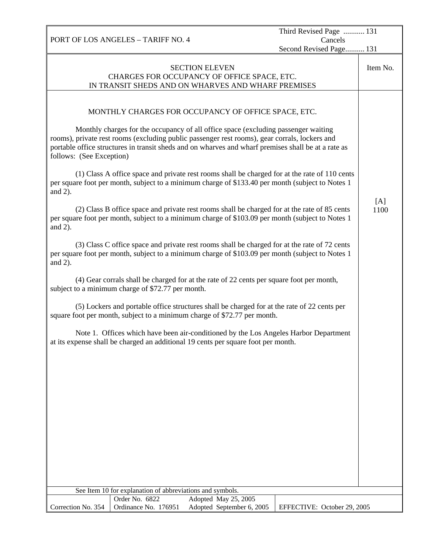PORT OF LOS ANGELES – TARIFF NO. 4 Third Revised Page ........... 131 Cancels Second Revised Page.......... 131 SECTION ELEVEN CHARGES FOR OCCUPANCY OF OFFICE SPACE, ETC. IN TRANSIT SHEDS AND ON WHARVES AND WHARF PREMISES Item No. MONTHLY CHARGES FOR OCCUPANCY OF OFFICE SPACE, ETC. Monthly charges for the occupancy of all office space (excluding passenger waiting rooms), private rest rooms (excluding public passenger rest rooms), gear corrals, lockers and portable office structures in transit sheds and on wharves and wharf premises shall be at a rate as follows: (See Exception) (1) Class A office space and private rest rooms shall be charged for at the rate of 110 cents per square foot per month, subject to a minimum charge of \$133.40 per month (subject to Notes 1 and 2). (2) Class B office space and private rest rooms shall be charged for at the rate of 85 cents per square foot per month, subject to a minimum charge of \$103.09 per month (subject to Notes 1 and 2). (3) Class C office space and private rest rooms shall be charged for at the rate of 72 cents per square foot per month, subject to a minimum charge of \$103.09 per month (subject to Notes 1 and 2). (4) Gear corrals shall be charged for at the rate of 22 cents per square foot per month, subject to a minimum charge of \$72.77 per month. (5) Lockers and portable office structures shall be charged for at the rate of 22 cents per square foot per month, subject to a minimum charge of \$72.77 per month. Note 1. Offices which have been air-conditioned by the Los Angeles Harbor Department at its expense shall be charged an additional 19 cents per square foot per month. [A] 1100 See Item 10 for explanation of abbreviations and symbols. Correction No. 354 Order No. 6822 Adopted May 25, 2005<br>Ordinance No. 176951 Adopted September 6, 2 Adopted September 6, 2005 | EFFECTIVE: October 29, 2005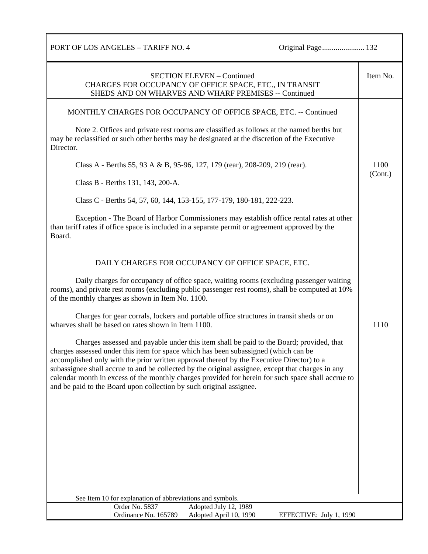PORT OF LOS ANGELES – TARIFF NO. 4 Original Page...................... 132

| <b>SECTION ELEVEN - Continued</b><br>CHARGES FOR OCCUPANCY OF OFFICE SPACE, ETC., IN TRANSIT<br>SHEDS AND ON WHARVES AND WHARF PREMISES -- Continued                                                                                                                                                                                                                                                                                                                                                                                                                                                                                                                                                                                                                                                                                                                                                                                                                                                                     | Item No.        |
|--------------------------------------------------------------------------------------------------------------------------------------------------------------------------------------------------------------------------------------------------------------------------------------------------------------------------------------------------------------------------------------------------------------------------------------------------------------------------------------------------------------------------------------------------------------------------------------------------------------------------------------------------------------------------------------------------------------------------------------------------------------------------------------------------------------------------------------------------------------------------------------------------------------------------------------------------------------------------------------------------------------------------|-----------------|
| MONTHLY CHARGES FOR OCCUPANCY OF OFFICE SPACE, ETC. -- Continued<br>Note 2. Offices and private rest rooms are classified as follows at the named berths but<br>may be reclassified or such other berths may be designated at the discretion of the Executive<br>Director.<br>Class A - Berths 55, 93 A & B, 95-96, 127, 179 (rear), 208-209, 219 (rear).<br>Class B - Berths 131, 143, 200-A.<br>Class C - Berths 54, 57, 60, 144, 153-155, 177-179, 180-181, 222-223.<br>Exception - The Board of Harbor Commissioners may establish office rental rates at other<br>than tariff rates if office space is included in a separate permit or agreement approved by the<br>Board.                                                                                                                                                                                                                                                                                                                                         | 1100<br>(Cont.) |
| DAILY CHARGES FOR OCCUPANCY OF OFFICE SPACE, ETC.<br>Daily charges for occupancy of office space, waiting rooms (excluding passenger waiting<br>rooms), and private rest rooms (excluding public passenger rest rooms), shall be computed at 10%<br>of the monthly charges as shown in Item No. 1100.<br>Charges for gear corrals, lockers and portable office structures in transit sheds or on<br>wharves shall be based on rates shown in Item 1100.<br>Charges assessed and payable under this item shall be paid to the Board; provided, that<br>charges assessed under this item for space which has been subassigned (which can be<br>accomplished only with the prior written approval thereof by the Executive Director) to a<br>subassignee shall accrue to and be collected by the original assignee, except that charges in any<br>calendar month in excess of the monthly charges provided for herein for such space shall accrue to<br>and be paid to the Board upon collection by such original assignee. | 1110            |
| See Item 10 for explanation of abbreviations and symbols.<br>Order No. 5837<br>Adopted July 12, 1989<br>Ordinance No. 165789<br>Adopted April 10, 1990<br>EFFECTIVE: July 1, 1990                                                                                                                                                                                                                                                                                                                                                                                                                                                                                                                                                                                                                                                                                                                                                                                                                                        |                 |